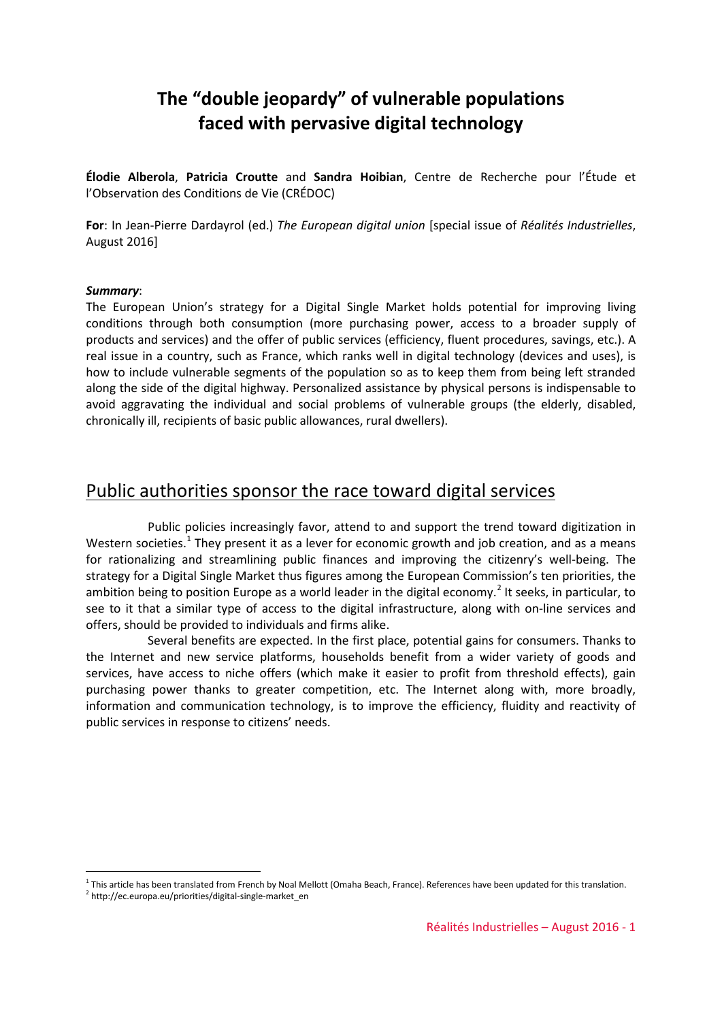# **The "double jeopardy" of vulnerable populations faced with pervasive digital technology**

**Élodie Alberola**, **Patricia Croutte** and **Sandra Hoibian**, Centre de Recherche pour l'Étude et l'Observation des Conditions de Vie (CRÉDOC)

**For**: In Jean-Pierre Dardayrol (ed.) *The European digital union* [special issue of *Réalités Industrielles*, August 2016]

#### *Summary*:

The European Union's strategy for a Digital Single Market holds potential for improving living conditions through both consumption (more purchasing power, access to a broader supply of products and services) and the offer of public services (efficiency, fluent procedures, savings, etc.). A real issue in a country, such as France, which ranks well in digital technology (devices and uses), is how to include vulnerable segments of the population so as to keep them from being left stranded along the side of the digital highway. Personalized assistance by physical persons is indispensable to avoid aggravating the individual and social problems of vulnerable groups (the elderly, disabled, chronically ill, recipients of basic public allowances, rural dwellers).

### Public authorities sponsor the race toward digital services

Public policies increasingly favor, attend to and support the trend toward digitization in Western societies.<sup>[1](#page-0-0)</sup> They present it as a lever for economic growth and job creation, and as a means for rationalizing and streamlining public finances and improving the citizenry's well-being. The strategy for a Digital Single Market thus figures among the European Commission's ten priorities, the ambition being to position Europe as a world leader in the digital economy.<sup>[2](#page-0-1)</sup> It seeks, in particular, to see to it that a similar type of access to the digital infrastructure, along with on-line services and offers, should be provided to individuals and firms alike.

Several benefits are expected. In the first place, potential gains for consumers. Thanks to the Internet and new service platforms, households benefit from a wider variety of goods and services, have access to niche offers (which make it easier to profit from threshold effects), gain purchasing power thanks to greater competition, etc. The Internet along with, more broadly, information and communication technology, is to improve the efficiency, fluidity and reactivity of public services in response to citizens' needs.

-

 $1$  This article has been translated from French by Noal Mellott (Omaha Beach, France). References have been updated for this translation.

<span id="page-0-1"></span><span id="page-0-0"></span> $2$  [http://ec.europa.eu/priorities/digital-single-market\\_en](http://ec.europa.eu/priorities/digital-single-market_en)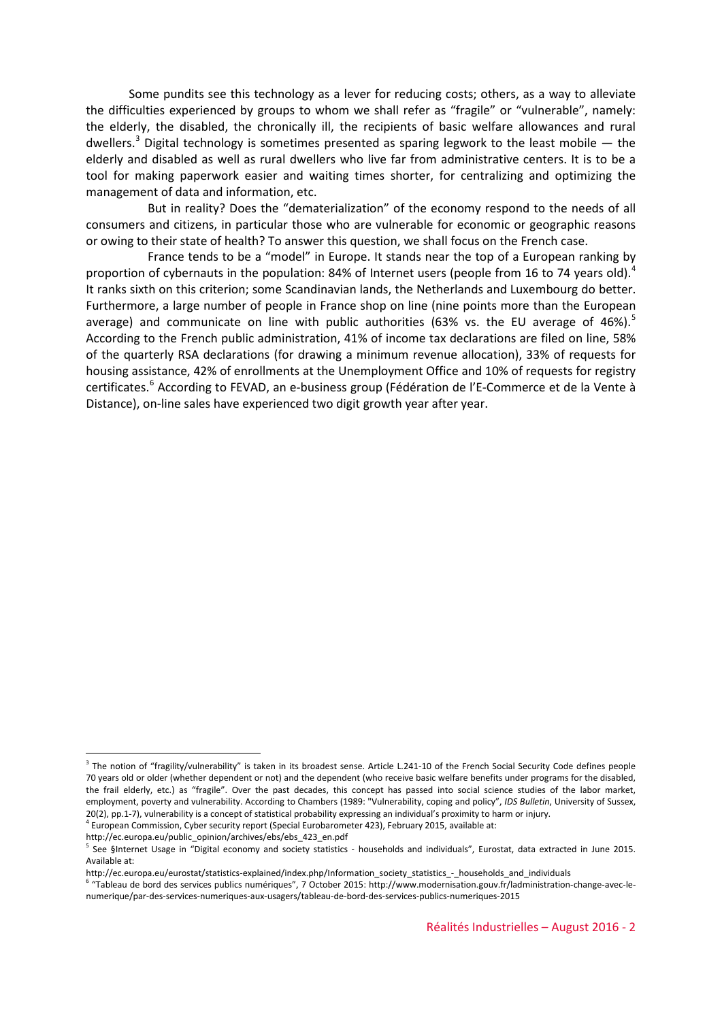Some pundits see this technology as a lever for reducing costs; others, as a way to alleviate the difficulties experienced by groups to whom we shall refer as "fragile" or "vulnerable", namely: the elderly, the disabled, the chronically ill, the recipients of basic welfare allowances and rural dwellers.<sup>[3](#page-1-0)</sup> Digital technology is sometimes presented as sparing legwork to the least mobile  $-$  the elderly and disabled as well as rural dwellers who live far from administrative centers. It is to be a tool for making paperwork easier and waiting times shorter, for centralizing and optimizing the management of data and information, etc.

But in reality? Does the "dematerialization" of the economy respond to the needs of all consumers and citizens, in particular those who are vulnerable for economic or geographic reasons or owing to their state of health? To answer this question, we shall focus on the French case.

France tends to be a "model" in Europe. It stands near the top of a European ranking by proportion of cybernauts in the population: 8[4](#page-1-1)% of Internet users (people from 16 to 74 years old).<sup>4</sup> It ranks sixth on this criterion; some Scandinavian lands, the Netherlands and Luxembourg do better. Furthermore, a large number of people in France shop on line (nine points more than the European average) and communicate on line with public authorities (63% vs. the EU average of 46%).<sup>[5](#page-1-2)</sup> According to the French public administration, 41% of income tax declarations are filed on line, 58% of the quarterly RSA declarations (for drawing a minimum revenue allocation), 33% of requests for housing assistance, 42% of enrollments at the Unemployment Office and 10% of requests for registry certificates.<sup>[6](#page-1-3)</sup> According to FEVAD, an e-business group (Fédération de l'E-Commerce et de la Vente à Distance), on-line sales have experienced two digit growth year after year.

[http://ec.europa.eu/public\\_opinion/archives/ebs/ebs\\_423\\_en.pdf](http://ec.europa.eu/public_opinion/archives/ebs/ebs_423_en.pdf)

1

<span id="page-1-0"></span><sup>&</sup>lt;sup>3</sup> The notion of "fragility/vulnerability" is taken in its broadest sense. Article L.241-10 of the French Social Security Code defines people 70 years old or older (whether dependent or not) and the dependent (who receive basic welfare benefits under programs for the disabled, the frail elderly, etc.) as "fragile". Over the past decades, this concept has passed into social science studies of the labor market, employment, poverty and vulnerability. According to Chambers (1989: "Vulnerability, coping and policy", *IDS Bulletin*, University of Sussex, 20(2), pp.1-7), vulnerability is a concept of statistical probability expressing an individual's proximity to harm or injury.

<span id="page-1-1"></span><sup>4</sup> European Commission, Cyber security report (Special Eurobarometer 423), February 2015, available at:

<span id="page-1-2"></span> $5$  See §Internet Usage in "Digital economy and society statistics - households and individuals", Eurostat, data extracted in June 2015. Available at:

http://ec.europa.eu/eurostat/statistics-explained/index.php/Information\_society\_statistics\_-\_households\_and\_individuals

<span id="page-1-3"></span><sup>6</sup> "Tableau de bord des services publics numériques", 7 October 2015: http://www.modernisation.gouv.fr/ladministration-change-avec-lenumerique/par-des-services-numeriques-aux-usagers/tableau-de-bord-des-services-publics-numeriques-2015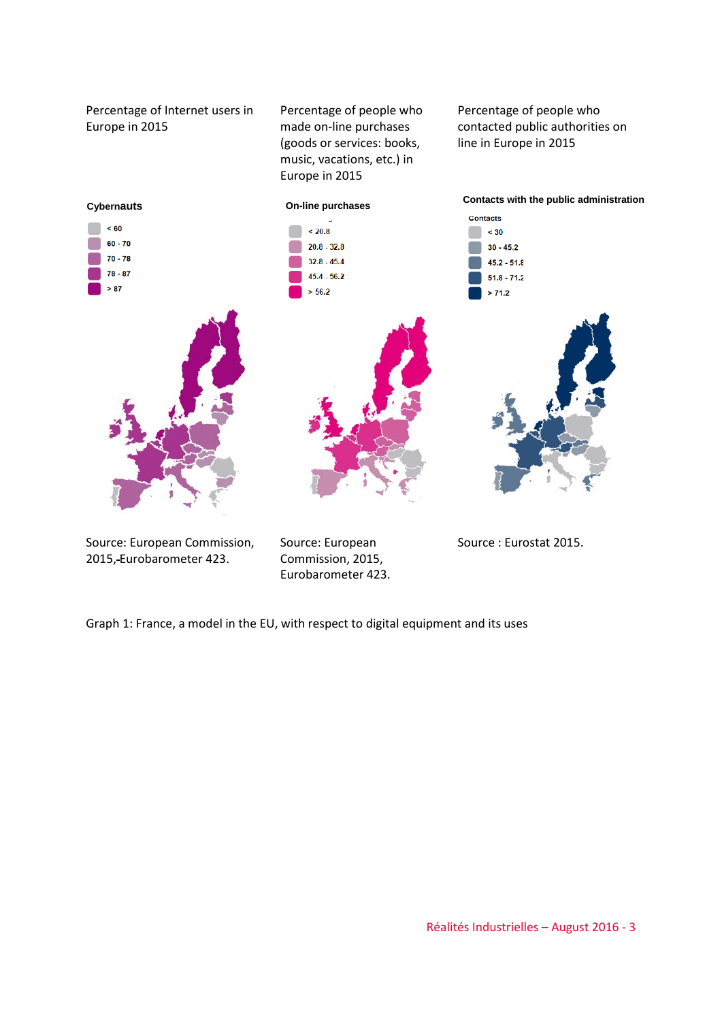Percentage of Internet users in Europe in 2015

Percentage of people who made on-line purchases (goods or services: books, music, vacations, etc.) in Europe in 2015

Percentage of people who contacted public authorities on line in Europe in 2015



Source: European Commission, 2015, Eurobarometer 423.

Source: European Commission, 2015, Eurobarometer 423.

Source : Eurostat 2015.

Graph 1: France, a model in the EU, with respect to digital equipment and its uses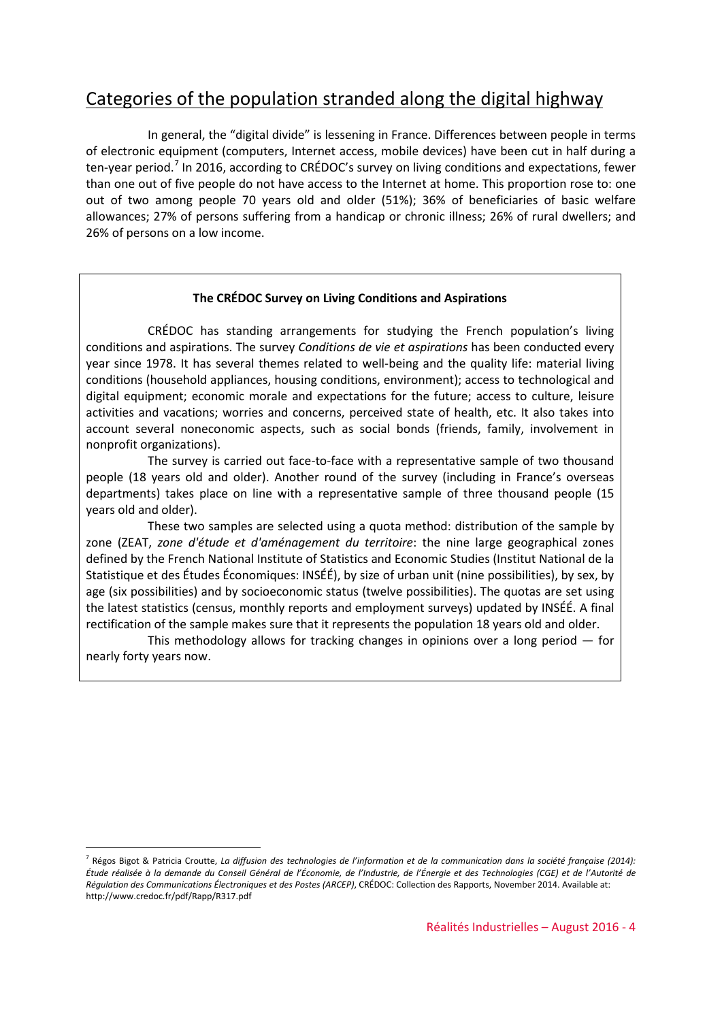### Categories of the population stranded along the digital highway

In general, the "digital divide" is lessening in France. Differences between people in terms of electronic equipment (computers, Internet access, mobile devices) have been cut in half during a ten-year period.[7](#page-3-0) In 2016, according to CRÉDOC's survey on living conditions and expectations, fewer than one out of five people do not have access to the Internet at home. This proportion rose to: one out of two among people 70 years old and older (51%); 36% of beneficiaries of basic welfare allowances; 27% of persons suffering from a handicap or chronic illness; 26% of rural dwellers; and 26% of persons on a low income.

#### **The CRÉDOC Survey on Living Conditions and Aspirations**

CRÉDOC has standing arrangements for studying the French population's living conditions and aspirations. The survey *Conditions de vie et aspirations* has been conducted every year since 1978. It has several themes related to well-being and the quality life: material living conditions (household appliances, housing conditions, environment); access to technological and digital equipment; economic morale and expectations for the future; access to culture, leisure activities and vacations; worries and concerns, perceived state of health, etc. It also takes into account several noneconomic aspects, such as social bonds (friends, family, involvement in nonprofit organizations).

The survey is carried out face-to-face with a representative sample of two thousand people (18 years old and older). Another round of the survey (including in France's overseas departments) takes place on line with a representative sample of three thousand people (15 years old and older).

These two samples are selected using a quota method: distribution of the sample by zone (ZEAT, *zone d'étude et d'aménagement du territoire*: the nine large geographical zones defined by the French National Institute of Statistics and Economic Studies (Institut National de la Statistique et des Études Économiques: INSÉÉ), by size of urban unit (nine possibilities), by sex, by age (six possibilities) and by socioeconomic status (twelve possibilities). The quotas are set using the latest statistics (census, monthly reports and employment surveys) updated by INSÉÉ. A final rectification of the sample makes sure that it represents the population 18 years old and older.

This methodology allows for tracking changes in opinions over a long period — for nearly forty years now.

<u>.</u>

<span id="page-3-0"></span><sup>7</sup> Régos Bigot & Patricia Croutte, *La diffusion des technologies de l'information et de la communication dans la société française (2014): Étude réalisée à la demande du Conseil Général de l'Économie, de l'Industrie, de l'Énergie et des Technologies (CGE) et de l'Autorité de Régulation des Communications Électroniques et des Postes (ARCEP)*, CRÉDOC: Collection des Rapports, November 2014. Available at: http://www.credoc.fr/pdf/Rapp/R317.pdf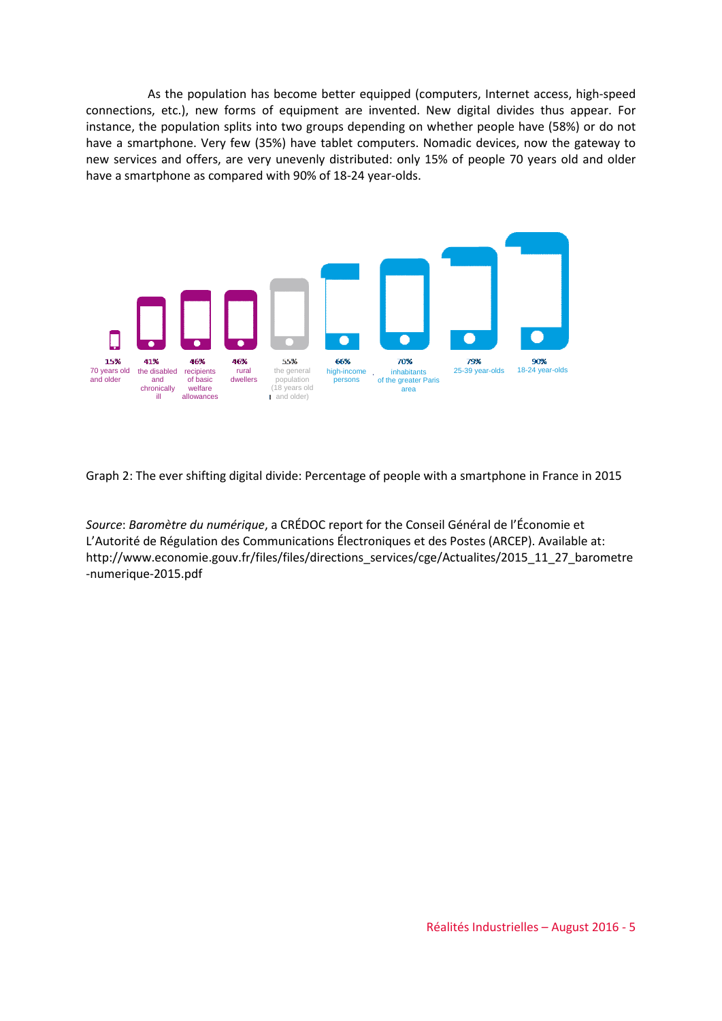As the population has become better equipped (computers, Internet access, high-speed connections, etc.), new forms of equipment are invented. New digital divides thus appear. For instance, the population splits into two groups depending on whether people have (58%) or do not have a smartphone. Very few (35%) have tablet computers. Nomadic devices, now the gateway to new services and offers, are very unevenly distributed: only 15% of people 70 years old and older have a smartphone as compared with 90% of 18-24 year-olds.



Graph 2: The ever shifting digital divide: Percentage of people with a smartphone in France in 2015

*Source*: *Baromètre du numérique*, a CRÉDOC report for the Conseil Général de l'Économie et L'Autorité de Régulation des Communications Électroniques et des Postes (ARCEP). Available at: http://www.economie.gouv.fr/files/files/directions\_services/cge/Actualites/2015\_11\_27\_barometre -numerique-2015.pdf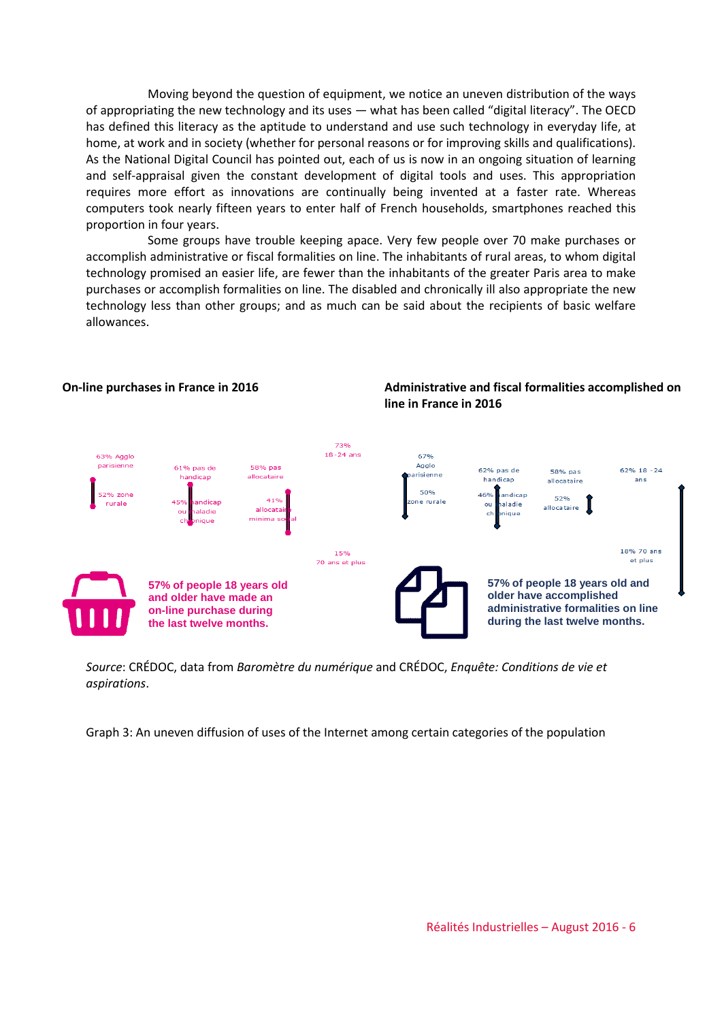Moving beyond the question of equipment, we notice an uneven distribution of the ways of appropriating the new technology and its uses — what has been called "digital literacy". The OECD has defined this literacy as the aptitude to understand and use such technology in everyday life, at home, at work and in society (whether for personal reasons or for improving skills and qualifications). As the National Digital Council has pointed out, each of us is now in an ongoing situation of learning and self-appraisal given the constant development of digital tools and uses. This appropriation requires more effort as innovations are continually being invented at a faster rate. Whereas computers took nearly fifteen years to enter half of French households, smartphones reached this proportion in four years.

Some groups have trouble keeping apace. Very few people over 70 make purchases or accomplish administrative or fiscal formalities on line. The inhabitants of rural areas, to whom digital technology promised an easier life, are fewer than the inhabitants of the greater Paris area to make purchases or accomplish formalities on line. The disabled and chronically ill also appropriate the new technology less than other groups; and as much can be said about the recipients of basic welfare allowances.



**line in France in 2016**

**On-line purchases in France in 2016 Administrative and fiscal formalities accomplished on** 

*Source*: CRÉDOC, data from *Baromètre du numérique* and CRÉDOC, *Enquête: Conditions de vie et aspirations*.

Graph 3: An uneven diffusion of uses of the Internet among certain categories of the population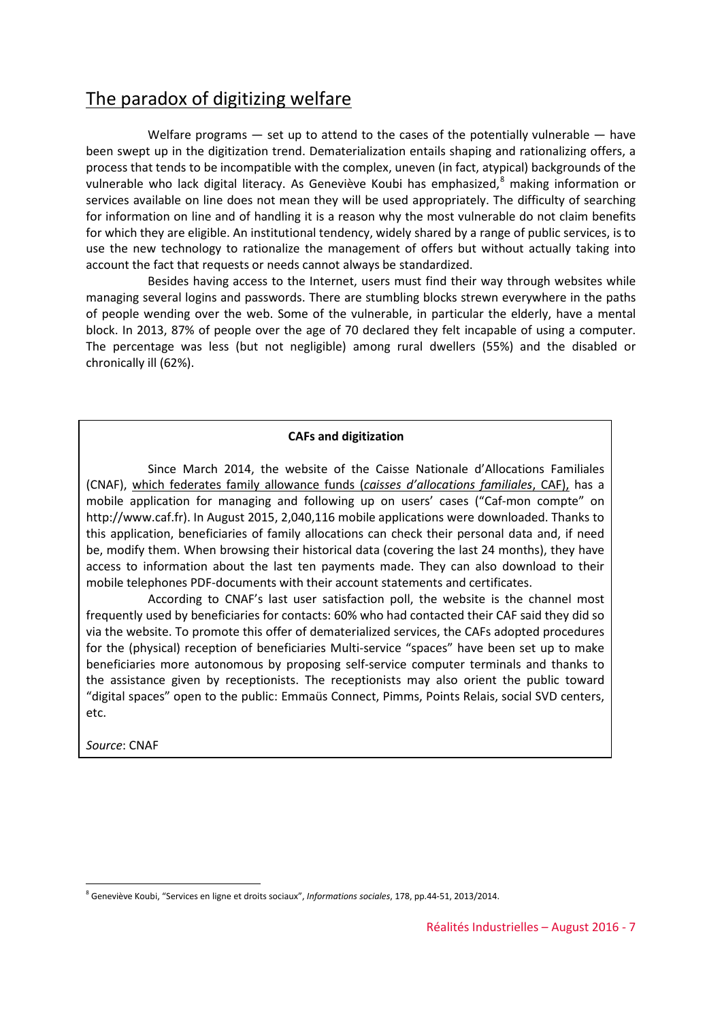### The paradox of digitizing welfare

Welfare programs  $-$  set up to attend to the cases of the potentially vulnerable  $-$  have been swept up in the digitization trend. Dematerialization entails shaping and rationalizing offers, a process that tends to be incompatible with the complex, uneven (in fact, atypical) backgrounds of the vulnerable who lack digital literacy. As Geneviève Koubi has emphasized,<sup>[8](#page-6-0)</sup> making information or services available on line does not mean they will be used appropriately. The difficulty of searching for information on line and of handling it is a reason why the most vulnerable do not claim benefits for which they are eligible. An institutional tendency, widely shared by a range of public services, is to use the new technology to rationalize the management of offers but without actually taking into account the fact that requests or needs cannot always be standardized.

Besides having access to the Internet, users must find their way through websites while managing several logins and passwords. There are stumbling blocks strewn everywhere in the paths of people wending over the web. Some of the vulnerable, in particular the elderly, have a mental block. In 2013, 87% of people over the age of 70 declared they felt incapable of using a computer. The percentage was less (but not negligible) among rural dwellers (55%) and the disabled or chronically ill (62%).

#### **CAFs and digitization**

Since March 2014, the website of the Caisse Nationale d'Allocations Familiales (CNAF), which federates family allowance funds (*caisses d'allocations familiales*, CAF), has a mobile application for managing and following up on users' cases ("Caf-mon compte" on http://www.caf.fr). In August 2015, 2,040,116 mobile applications were downloaded. Thanks to this application, beneficiaries of family allocations can check their personal data and, if need be, modify them. When browsing their historical data (covering the last 24 months), they have access to information about the last ten payments made. They can also download to their mobile telephones PDF-documents with their account statements and certificates.

According to CNAF's last user satisfaction poll, the website is the channel most frequently used by beneficiaries for contacts: 60% who had contacted their CAF said they did so via the website. To promote this offer of dematerialized services, the CAFs adopted procedures for the (physical) reception of beneficiaries Multi-service "spaces" have been set up to make beneficiaries more autonomous by proposing self-service computer terminals and thanks to the assistance given by receptionists. The receptionists may also orient the public toward "digital spaces" open to the public: Emmaüs Connect, Pimms, Points Relais, social SVD centers, etc.

*Source*: CNAF

<u>.</u>

<span id="page-6-0"></span><sup>8</sup> Geneviève Koubi, "Services en ligne et droits sociaux", *Informations sociales*, 178, pp.44-51, 2013/2014.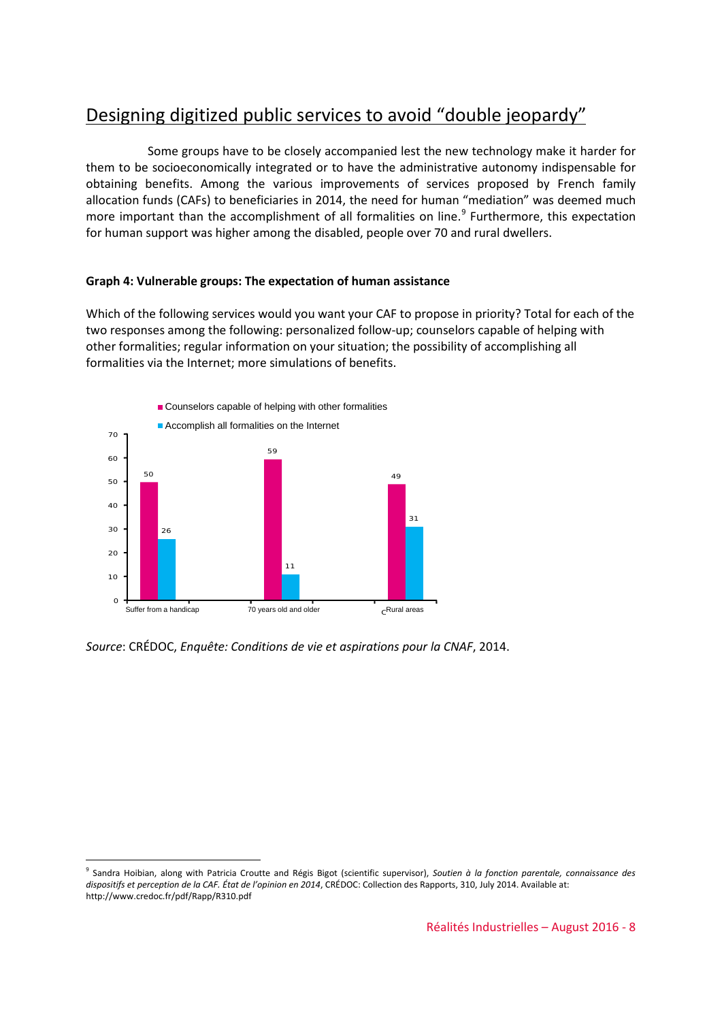## Designing digitized public services to avoid "double jeopardy"

Some groups have to be closely accompanied lest the new technology make it harder for them to be socioeconomically integrated or to have the administrative autonomy indispensable for obtaining benefits. Among the various improvements of services proposed by French family allocation funds (CAFs) to beneficiaries in 2014, the need for human "mediation" was deemed much more important than the accomplishment of all formalities on line.<sup>[9](#page-7-0)</sup> Furthermore, this expectation for human support was higher among the disabled, people over 70 and rural dwellers.

#### **Graph 4: Vulnerable groups: The expectation of human assistance**

Which of the following services would you want your CAF to propose in priority? Total for each of the two responses among the following: personalized follow-up; counselors capable of helping with other formalities; regular information on your situation; the possibility of accomplishing all formalities via the Internet; more simulations of benefits.



*Source*: CRÉDOC, *Enquête: Conditions de vie et aspirations pour la CNAF*, 2014.

-

<span id="page-7-0"></span><sup>9</sup> Sandra Hoibian, along with Patricia Croutte and Régis Bigot (scientific supervisor), *Soutien à la fonction parentale, connaissance des dispositifs et perception de la CAF. État de l'opinion en 2014*, CRÉDOC: Collection des Rapports, 310, July 2014. Available at: http://www.credoc.fr/pdf/Rapp/R310.pdf